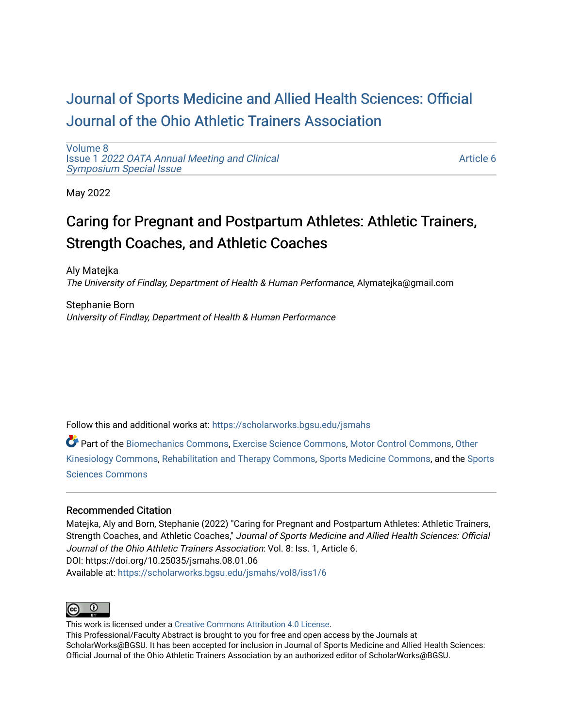# [Journal of Sports Medicine and Allied Health Sciences: Official](https://scholarworks.bgsu.edu/jsmahs)  [Journal of the Ohio Athletic Trainers Association](https://scholarworks.bgsu.edu/jsmahs)

[Volume 8](https://scholarworks.bgsu.edu/jsmahs/vol8) Issue 1 [2022 OATA Annual Meeting and Clinical](https://scholarworks.bgsu.edu/jsmahs/vol8/iss1) [Symposium Special Issue](https://scholarworks.bgsu.edu/jsmahs/vol8/iss1)

[Article 6](https://scholarworks.bgsu.edu/jsmahs/vol8/iss1/6) 

May 2022

# Caring for Pregnant and Postpartum Athletes: Athletic Trainers, Strength Coaches, and Athletic Coaches

Aly Matejka The University of Findlay, Department of Health & Human Performance, Alymatejka@gmail.com

Stephanie Born University of Findlay, Department of Health & Human Performance

Follow this and additional works at: [https://scholarworks.bgsu.edu/jsmahs](https://scholarworks.bgsu.edu/jsmahs?utm_source=scholarworks.bgsu.edu%2Fjsmahs%2Fvol8%2Fiss1%2F6&utm_medium=PDF&utm_campaign=PDFCoverPages)

Part of the [Biomechanics Commons,](https://network.bepress.com/hgg/discipline/43?utm_source=scholarworks.bgsu.edu%2Fjsmahs%2Fvol8%2Fiss1%2F6&utm_medium=PDF&utm_campaign=PDFCoverPages) [Exercise Science Commons](https://network.bepress.com/hgg/discipline/1091?utm_source=scholarworks.bgsu.edu%2Fjsmahs%2Fvol8%2Fiss1%2F6&utm_medium=PDF&utm_campaign=PDFCoverPages), [Motor Control Commons](https://network.bepress.com/hgg/discipline/45?utm_source=scholarworks.bgsu.edu%2Fjsmahs%2Fvol8%2Fiss1%2F6&utm_medium=PDF&utm_campaign=PDFCoverPages), [Other](https://network.bepress.com/hgg/discipline/47?utm_source=scholarworks.bgsu.edu%2Fjsmahs%2Fvol8%2Fiss1%2F6&utm_medium=PDF&utm_campaign=PDFCoverPages)  [Kinesiology Commons,](https://network.bepress.com/hgg/discipline/47?utm_source=scholarworks.bgsu.edu%2Fjsmahs%2Fvol8%2Fiss1%2F6&utm_medium=PDF&utm_campaign=PDFCoverPages) [Rehabilitation and Therapy Commons](https://network.bepress.com/hgg/discipline/749?utm_source=scholarworks.bgsu.edu%2Fjsmahs%2Fvol8%2Fiss1%2F6&utm_medium=PDF&utm_campaign=PDFCoverPages), [Sports Medicine Commons](https://network.bepress.com/hgg/discipline/1331?utm_source=scholarworks.bgsu.edu%2Fjsmahs%2Fvol8%2Fiss1%2F6&utm_medium=PDF&utm_campaign=PDFCoverPages), and the [Sports](https://network.bepress.com/hgg/discipline/759?utm_source=scholarworks.bgsu.edu%2Fjsmahs%2Fvol8%2Fiss1%2F6&utm_medium=PDF&utm_campaign=PDFCoverPages)  [Sciences Commons](https://network.bepress.com/hgg/discipline/759?utm_source=scholarworks.bgsu.edu%2Fjsmahs%2Fvol8%2Fiss1%2F6&utm_medium=PDF&utm_campaign=PDFCoverPages) 

#### Recommended Citation

Matejka, Aly and Born, Stephanie (2022) "Caring for Pregnant and Postpartum Athletes: Athletic Trainers, Strength Coaches, and Athletic Coaches," Journal of Sports Medicine and Allied Health Sciences: Official Journal of the Ohio Athletic Trainers Association: Vol. 8: Iss. 1, Article 6. DOI: https://doi.org/10.25035/jsmahs.08.01.06 Available at: [https://scholarworks.bgsu.edu/jsmahs/vol8/iss1/6](https://scholarworks.bgsu.edu/jsmahs/vol8/iss1/6?utm_source=scholarworks.bgsu.edu%2Fjsmahs%2Fvol8%2Fiss1%2F6&utm_medium=PDF&utm_campaign=PDFCoverPages)



This work is licensed under a [Creative Commons Attribution 4.0 License](https://creativecommons.org/licenses/by/4.0/). This Professional/Faculty Abstract is brought to you for free and open access by the Journals at ScholarWorks@BGSU. It has been accepted for inclusion in Journal of Sports Medicine and Allied Health Sciences: Official Journal of the Ohio Athletic Trainers Association by an authorized editor of ScholarWorks@BGSU.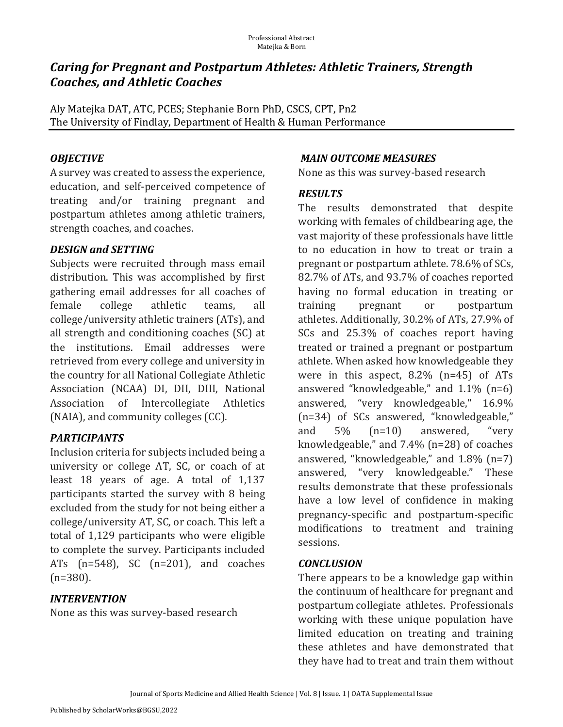# *Caring for Pregnant and Postpartum Athletes: Athletic Trainers, Strength Coaches, and Athletic Coaches*

Aly Matejka DAT, ATC, PCES; Stephanie Born PhD, CSCS, CPT, Pn2 The University of Findlay, Department of Health & Human Performance

# *OBJECTIVE*

A survey was created to assess the experience, education, and self-perceived competence of treating and/or training pregnant and postpartum athletes among athletic trainers, strength coaches, and coaches.

# *DESIGN.and.SETTING*

Subjects were recruited through mass email distribution. This was accomplished by first gathering email addresses for all coaches of female college athletic teams, all college/university athletic trainers (ATs), and all strength and conditioning coaches (SC) at the institutions. Email addresses were retrieved from every college and university in the country for all National Collegiate Athletic Association (NCAA) DI, DII, DIII, National Association of Intercollegiate Athletics  $(NAIA)$ , and community colleges  $(CC)$ .

# *PARTICIPANTS*

Inclusion criteria for subjects included being a university or college AT, SC, or coach of at least 18 years of age. A total of 1,137 participants started the survey with 8 being excluded from the study for not being either a college/university AT, SC, or coach. This left a total of 1,129 participants who were eligible to complete the survey. Participants included ATs  $(n=548)$ , SC  $(n=201)$ , and coaches (n=380).

## *INTERVENTION*

None as this was survey-based research

## *MAIN.OUTCOME.MEASURES*

None as this was survey-based research

## *RESULTS*

The results demonstrated that despite working with females of childbearing age, the vast majority of these professionals have little to no education in how to treat or train a pregnant or postpartum athlete. 78.6% of SCs, 82.7% of ATs, and 93.7% of coaches reported having no formal education in treating or training pregnant or postpartum athletes. Additionally, 30.2% of ATs, 27.9% of SCs and 25.3% of coaches report having treated or trained a pregnant or postpartum athlete. When asked how knowledgeable they were in this aspect,  $8.2\%$  (n=45) of ATs answered "knowledgeable," and  $1.1\%$  (n=6) answered, "very knowledgeable," 16.9% (n=34) of SCs answered, "knowledgeable," and  $5\%$   $(n=10)$  answered, "very knowledgeable," and  $7.4\%$  (n=28) of coaches answered, "knowledgeable," and  $1.8\%$  (n=7) answered, "very knowledgeable." These results demonstrate that these professionals have a low level of confidence in making pregnancy-specific and postpartum-specific modifications to treatment and training sessions.

## *CONCLUSION*

There appears to be a knowledge gap within the continuum of healthcare for pregnant and postpartum collegiate athletes. Professionals working with these unique population have limited education on treating and training these athletes and have demonstrated that they have had to treat and train them without